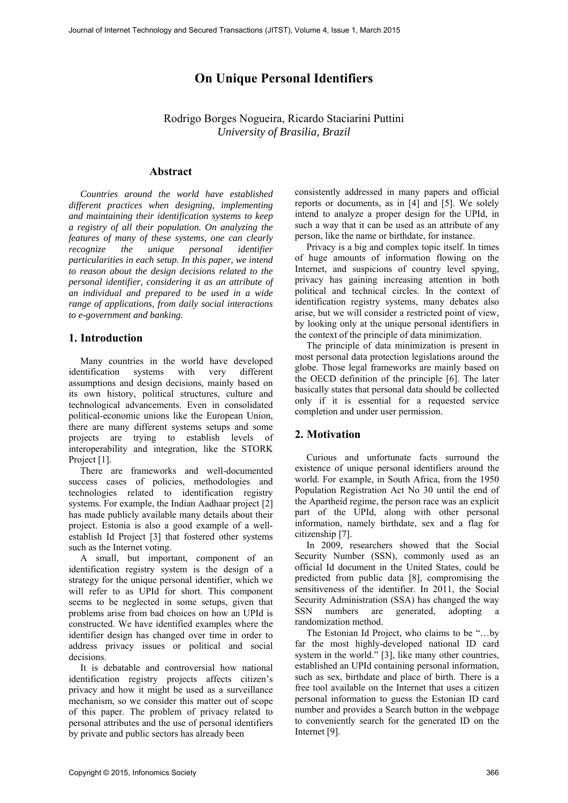# **On Unique Personal Identifiers**

Rodrigo Borges Nogueira, Ricardo Staciarini Puttini *University of Brasilia, Brazil* 

## **Abstract**

*Countries around the world have established different practices when designing, implementing and maintaining their identification systems to keep a registry of all their population. On analyzing the features of many of these systems, one can clearly recognize the unique personal identifier particularities in each setup. In this paper, we intend to reason about the design decisions related to the personal identifier, considering it as an attribute of an individual and prepared to be used in a wide range of applications, from daily social interactions to e-government and banking.* 

# **1. Introduction**

Many countries in the world have developed identification systems with very different assumptions and design decisions, mainly based on its own history, political structures, culture and technological advancements. Even in consolidated political-economic unions like the European Union, there are many different systems setups and some projects are trying to establish levels of interoperability and integration, like the STORK Project [1].

There are frameworks and well-documented success cases of policies, methodologies and technologies related to identification registry systems. For example, the Indian Aadhaar project [2] has made publicly available many details about their project. Estonia is also a good example of a wellestablish Id Project [3] that fostered other systems such as the Internet voting.

A small, but important, component of an identification registry system is the design of a strategy for the unique personal identifier, which we will refer to as UPId for short. This component seems to be neglected in some setups, given that problems arise from bad choices on how an UPId is constructed. We have identified examples where the identifier design has changed over time in order to address privacy issues or political and social decisions.

It is debatable and controversial how national identification registry projects affects citizen's privacy and how it might be used as a surveillance mechanism, so we consider this matter out of scope of this paper. The problem of privacy related to personal attributes and the use of personal identifiers by private and public sectors has already been

consistently addressed in many papers and official reports or documents, as in [4] and [5]. We solely intend to analyze a proper design for the UPId, in such a way that it can be used as an attribute of any person, like the name or birthdate, for instance.

Privacy is a big and complex topic itself. In times of huge amounts of information flowing on the Internet, and suspicions of country level spying, privacy has gaining increasing attention in both political and technical circles. In the context of identification registry systems, many debates also arise, but we will consider a restricted point of view, by looking only at the unique personal identifiers in the context of the principle of data minimization.

The principle of data minimization is present in most personal data protection legislations around the globe. Those legal frameworks are mainly based on the OECD definition of the principle [6]. The later basically states that personal data should be collected only if it is essential for a requested service completion and under user permission.

# **2. Motivation**

Curious and unfortunate facts surround the existence of unique personal identifiers around the world. For example, in South Africa, from the 1950 Population Registration Act No 30 until the end of the Apartheid regime, the person race was an explicit part of the UPId, along with other personal information, namely birthdate, sex and a flag for citizenship [7].

In 2009, researchers showed that the Social Security Number (SSN), commonly used as an official Id document in the United States, could be predicted from public data [8], compromising the sensitiveness of the identifier. In 2011, the Social Security Administration (SSA) has changed the way SSN numbers are generated, adopting a randomization method.

The Estonian Id Project, who claims to be "…by far the most highly-developed national ID card system in the world." [3], like many other countries, established an UPId containing personal information, such as sex, birthdate and place of birth. There is a free tool available on the Internet that uses a citizen personal information to guess the Estonian ID card number and provides a Search button in the webpage to conveniently search for the generated ID on the Internet [9].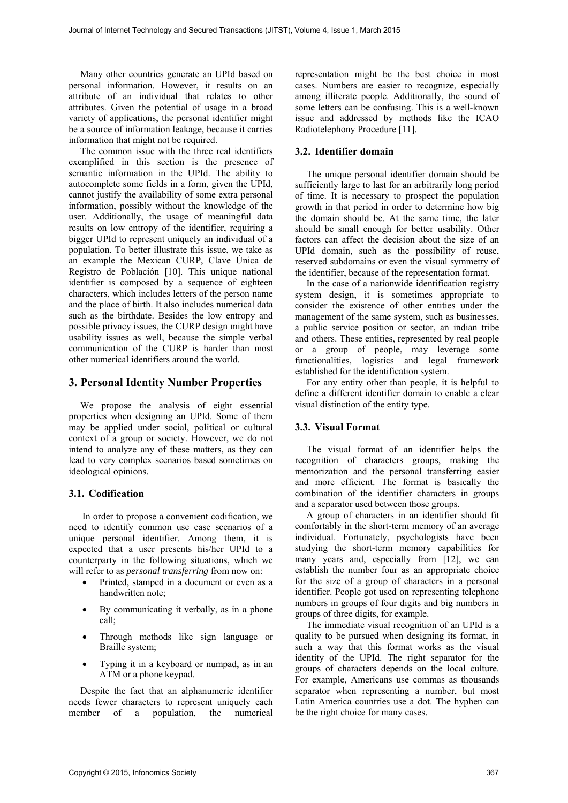Many other countries generate an UPId based on personal information. However, it results on an attribute of an individual that relates to other attributes. Given the potential of usage in a broad variety of applications, the personal identifier might be a source of information leakage, because it carries information that might not be required.

The common issue with the three real identifiers exemplified in this section is the presence of semantic information in the UPId. The ability to autocomplete some fields in a form, given the UPId, cannot justify the availability of some extra personal information, possibly without the knowledge of the user. Additionally, the usage of meaningful data results on low entropy of the identifier, requiring a bigger UPId to represent uniquely an individual of a population. To better illustrate this issue, we take as an example the Mexican CURP, Clave Única de Registro de Población [10]. This unique national identifier is composed by a sequence of eighteen characters, which includes letters of the person name and the place of birth. It also includes numerical data such as the birthdate. Besides the low entropy and possible privacy issues, the CURP design might have usability issues as well, because the simple verbal communication of the CURP is harder than most other numerical identifiers around the world.

## **3. Personal Identity Number Properties**

We propose the analysis of eight essential properties when designing an UPId. Some of them may be applied under social, political or cultural context of a group or society. However, we do not intend to analyze any of these matters, as they can lead to very complex scenarios based sometimes on ideological opinions.

## **3.1. Codification**

In order to propose a convenient codification, we need to identify common use case scenarios of a unique personal identifier. Among them, it is expected that a user presents his/her UPId to a counterparty in the following situations, which we will refer to as *personal transferring* from now on:

- Printed, stamped in a document or even as a handwritten note;
- By communicating it verbally, as in a phone call;
- Through methods like sign language or Braille system;
- Typing it in a keyboard or numpad, as in an ATM or a phone keypad.

Despite the fact that an alphanumeric identifier needs fewer characters to represent uniquely each member of a population, the numerical representation might be the best choice in most cases. Numbers are easier to recognize, especially among illiterate people. Additionally, the sound of some letters can be confusing. This is a well-known issue and addressed by methods like the ICAO Radiotelephony Procedure [11].

## **3.2. Identifier domain**

The unique personal identifier domain should be sufficiently large to last for an arbitrarily long period of time. It is necessary to prospect the population growth in that period in order to determine how big the domain should be. At the same time, the later should be small enough for better usability. Other factors can affect the decision about the size of an UPId domain, such as the possibility of reuse, reserved subdomains or even the visual symmetry of the identifier, because of the representation format.

In the case of a nationwide identification registry system design, it is sometimes appropriate to consider the existence of other entities under the management of the same system, such as businesses, a public service position or sector, an indian tribe and others. These entities, represented by real people or a group of people, may leverage some functionalities, logistics and legal framework established for the identification system.

For any entity other than people, it is helpful to define a different identifier domain to enable a clear visual distinction of the entity type.

### **3.3. Visual Format**

The visual format of an identifier helps the recognition of characters groups, making the memorization and the personal transferring easier and more efficient. The format is basically the combination of the identifier characters in groups and a separator used between those groups.

A group of characters in an identifier should fit comfortably in the short-term memory of an average individual. Fortunately, psychologists have been studying the short-term memory capabilities for many years and, especially from [12], we can establish the number four as an appropriate choice for the size of a group of characters in a personal identifier. People got used on representing telephone numbers in groups of four digits and big numbers in groups of three digits, for example.

The immediate visual recognition of an UPId is a quality to be pursued when designing its format, in such a way that this format works as the visual identity of the UPId. The right separator for the groups of characters depends on the local culture. For example, Americans use commas as thousands separator when representing a number, but most Latin America countries use a dot. The hyphen can be the right choice for many cases.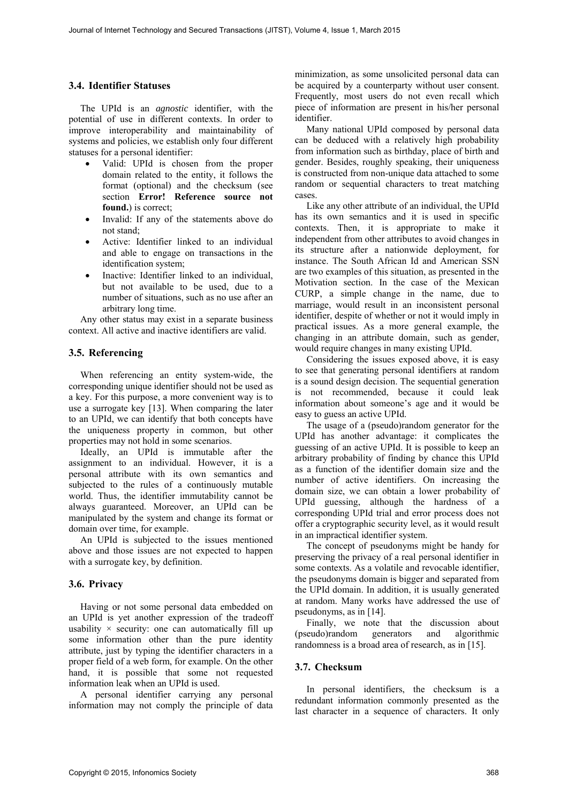### **3.4. Identifier Statuses**

The UPId is an *agnostic* identifier, with the potential of use in different contexts. In order to improve interoperability and maintainability of systems and policies, we establish only four different statuses for a personal identifier:

- Valid: UPId is chosen from the proper domain related to the entity, it follows the format (optional) and the checksum (see section **Error! Reference source not found.**) is correct;
- Invalid: If any of the statements above do not stand;
- Active: Identifier linked to an individual and able to engage on transactions in the identification system;
- Inactive: Identifier linked to an individual, but not available to be used, due to a number of situations, such as no use after an arbitrary long time.

Any other status may exist in a separate business context. All active and inactive identifiers are valid.

### **3.5. Referencing**

When referencing an entity system-wide, the corresponding unique identifier should not be used as a key. For this purpose, a more convenient way is to use a surrogate key [13]. When comparing the later to an UPId, we can identify that both concepts have the uniqueness property in common, but other properties may not hold in some scenarios.

Ideally, an UPId is immutable after the assignment to an individual. However, it is a personal attribute with its own semantics and subjected to the rules of a continuously mutable world. Thus, the identifier immutability cannot be always guaranteed. Moreover, an UPId can be manipulated by the system and change its format or domain over time, for example.

An UPId is subjected to the issues mentioned above and those issues are not expected to happen with a surrogate key, by definition.

#### **3.6. Privacy**

Having or not some personal data embedded on an UPId is yet another expression of the tradeoff usability  $\times$  security: one can automatically fill up some information other than the pure identity attribute, just by typing the identifier characters in a proper field of a web form, for example. On the other hand, it is possible that some not requested information leak when an UPId is used.

A personal identifier carrying any personal information may not comply the principle of data minimization, as some unsolicited personal data can be acquired by a counterparty without user consent. Frequently, most users do not even recall which piece of information are present in his/her personal identifier.

Many national UPId composed by personal data can be deduced with a relatively high probability from information such as birthday, place of birth and gender. Besides, roughly speaking, their uniqueness is constructed from non-unique data attached to some random or sequential characters to treat matching cases.

Like any other attribute of an individual, the UPId has its own semantics and it is used in specific contexts. Then, it is appropriate to make it independent from other attributes to avoid changes in its structure after a nationwide deployment, for instance. The South African Id and American SSN are two examples of this situation, as presented in the Motivation section. In the case of the Mexican CURP, a simple change in the name, due to marriage, would result in an inconsistent personal identifier, despite of whether or not it would imply in practical issues. As a more general example, the changing in an attribute domain, such as gender, would require changes in many existing UPId.

Considering the issues exposed above, it is easy to see that generating personal identifiers at random is a sound design decision. The sequential generation is not recommended, because it could leak information about someone's age and it would be easy to guess an active UPId.

The usage of a (pseudo)random generator for the UPId has another advantage: it complicates the guessing of an active UPId. It is possible to keep an arbitrary probability of finding by chance this UPId as a function of the identifier domain size and the number of active identifiers. On increasing the domain size, we can obtain a lower probability of UPId guessing, although the hardness of a corresponding UPId trial and error process does not offer a cryptographic security level, as it would result in an impractical identifier system.

The concept of pseudonyms might be handy for preserving the privacy of a real personal identifier in some contexts. As a volatile and revocable identifier, the pseudonyms domain is bigger and separated from the UPId domain. In addition, it is usually generated at random. Many works have addressed the use of pseudonyms, as in [14].

Finally, we note that the discussion about (pseudo)random generators and algorithmic randomness is a broad area of research, as in [15].

## **3.7. Checksum**

In personal identifiers, the checksum is a redundant information commonly presented as the last character in a sequence of characters. It only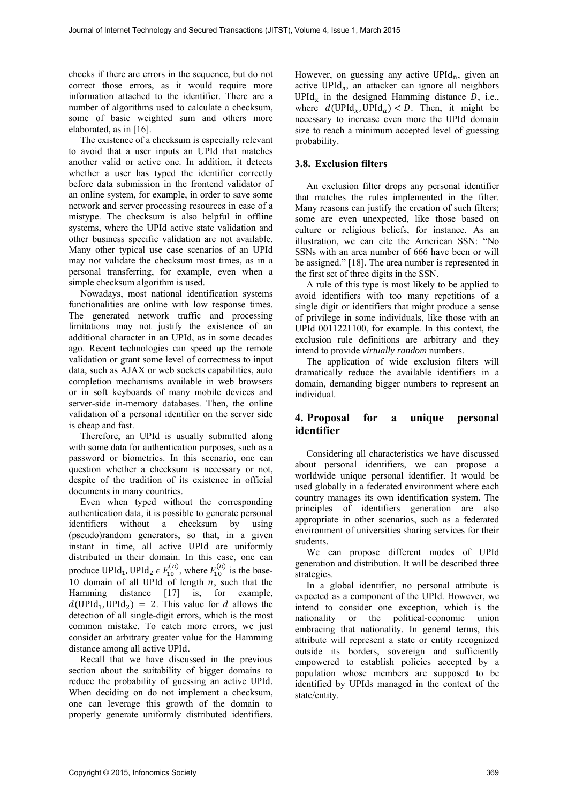checks if there are errors in the sequence, but do not correct those errors, as it would require more information attached to the identifier. There are a number of algorithms used to calculate a checksum, some of basic weighted sum and others more elaborated, as in [16].

The existence of a checksum is especially relevant to avoid that a user inputs an UPId that matches another valid or active one. In addition, it detects whether a user has typed the identifier correctly before data submission in the frontend validator of an online system, for example, in order to save some network and server processing resources in case of a mistype. The checksum is also helpful in offline systems, where the UPId active state validation and other business specific validation are not available. Many other typical use case scenarios of an UPId may not validate the checksum most times, as in a personal transferring, for example, even when a simple checksum algorithm is used.

Nowadays, most national identification systems functionalities are online with low response times. The generated network traffic and processing limitations may not justify the existence of an additional character in an UPId, as in some decades ago. Recent technologies can speed up the remote validation or grant some level of correctness to input data, such as AJAX or web sockets capabilities, auto completion mechanisms available in web browsers or in soft keyboards of many mobile devices and server-side in-memory databases. Then, the online validation of a personal identifier on the server side is cheap and fast.

Therefore, an UPId is usually submitted along with some data for authentication purposes, such as a password or biometrics. In this scenario, one can question whether a checksum is necessary or not, despite of the tradition of its existence in official documents in many countries.

Even when typed without the corresponding authentication data, it is possible to generate personal identifiers without a checksum by using (pseudo)random generators, so that, in a given instant in time, all active UPId are uniformly distributed in their domain. In this case, one can produce UPId<sub>1</sub>, UPId<sub>2</sub>  $\epsilon F_{10}^{(n)}$ , where  $F_{10}^{(n)}$  is the base-10 domain of all UPId of length  $n$ , such that the Hamming distance [17] is, for example,  $d(UPId_1, UPId_2) = 2$ . This value for d allows the detection of all single-digit errors, which is the most common mistake. To catch more errors, we just consider an arbitrary greater value for the Hamming distance among all active UPId.

Recall that we have discussed in the previous section about the suitability of bigger domains to reduce the probability of guessing an active UPId. When deciding on do not implement a checksum, one can leverage this growth of the domain to properly generate uniformly distributed identifiers.

However, on guessing any active UPI $d_n$ , given an active UPId<sub>a</sub>, an attacker can ignore all neighbors  $UPId_x$  in the designed Hamming distance  $D$ , i.e., where  $d(UPId<sub>x</sub>, UPId<sub>a</sub>) < D$ . Then, it might be necessary to increase even more the UPId domain size to reach a minimum accepted level of guessing probability.

## **3.8. Exclusion filters**

An exclusion filter drops any personal identifier that matches the rules implemented in the filter. Many reasons can justify the creation of such filters; some are even unexpected, like those based on culture or religious beliefs, for instance. As an illustration, we can cite the American SSN: "No SSNs with an area number of 666 have been or will be assigned." [18]. The area number is represented in the first set of three digits in the SSN.

A rule of this type is most likely to be applied to avoid identifiers with too many repetitions of a single digit or identifiers that might produce a sense of privilege in some individuals, like those with an UPId 0011221100, for example. In this context, the exclusion rule definitions are arbitrary and they intend to provide *virtually random* numbers.

The application of wide exclusion filters will dramatically reduce the available identifiers in a domain, demanding bigger numbers to represent an individual.

# **4. Proposal for a unique personal identifier**

Considering all characteristics we have discussed about personal identifiers, we can propose a worldwide unique personal identifier. It would be used globally in a federated environment where each country manages its own identification system. The principles of identifiers generation are also appropriate in other scenarios, such as a federated environment of universities sharing services for their students.

We can propose different modes of UPId generation and distribution. It will be described three strategies.

In a global identifier, no personal attribute is expected as a component of the UPId. However, we intend to consider one exception, which is the nationality or the political-economic union embracing that nationality. In general terms, this attribute will represent a state or entity recognized outside its borders, sovereign and sufficiently empowered to establish policies accepted by a population whose members are supposed to be identified by UPIds managed in the context of the state/entity.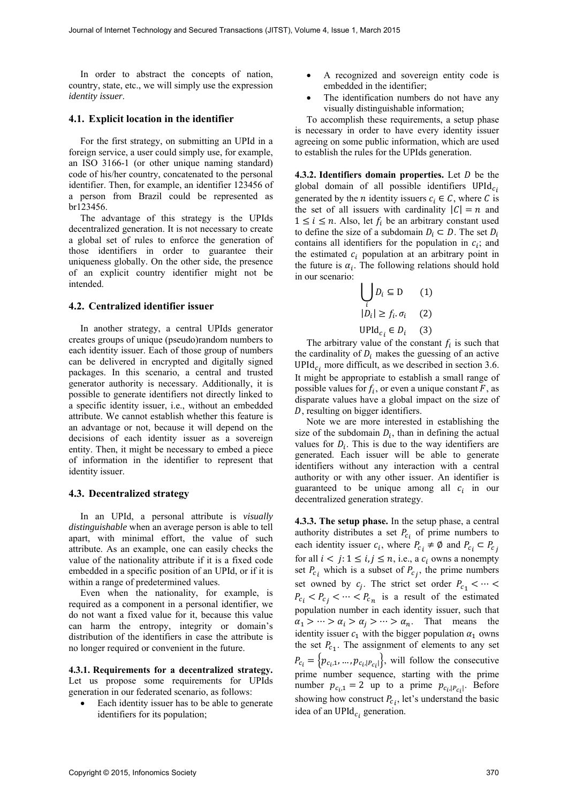In order to abstract the concepts of nation, country, state, etc., we will simply use the expression *identity issuer*.

### **4.1. Explicit location in the identifier**

For the first strategy, on submitting an UPId in a foreign service, a user could simply use, for example, an ISO 3166-1 (or other unique naming standard) code of his/her country, concatenated to the personal identifier. Then, for example, an identifier 123456 of a person from Brazil could be represented as br123456.

The advantage of this strategy is the UPIds decentralized generation. It is not necessary to create a global set of rules to enforce the generation of those identifiers in order to guarantee their uniqueness globally. On the other side, the presence of an explicit country identifier might not be intended.

#### **4.2. Centralized identifier issuer**

In another strategy, a central UPIds generator creates groups of unique (pseudo)random numbers to each identity issuer. Each of those group of numbers can be delivered in encrypted and digitally signed packages. In this scenario, a central and trusted generator authority is necessary. Additionally, it is possible to generate identifiers not directly linked to a specific identity issuer, i.e., without an embedded attribute. We cannot establish whether this feature is an advantage or not, because it will depend on the decisions of each identity issuer as a sovereign entity. Then, it might be necessary to embed a piece of information in the identifier to represent that identity issuer.

#### **4.3. Decentralized strategy**

In an UPId, a personal attribute is *visually distinguishable* when an average person is able to tell apart, with minimal effort, the value of such attribute. As an example, one can easily checks the value of the nationality attribute if it is a fixed code embedded in a specific position of an UPId, or if it is within a range of predetermined values.

Even when the nationality, for example, is required as a component in a personal identifier, we do not want a fixed value for it, because this value can harm the entropy, integrity or domain's distribution of the identifiers in case the attribute is no longer required or convenient in the future.

**4.3.1. Requirements for a decentralized strategy.** Let us propose some requirements for UPIds generation in our federated scenario, as follows:

 Each identity issuer has to be able to generate identifiers for its population;

- A recognized and sovereign entity code is embedded in the identifier;
- The identification numbers do not have any visually distinguishable information;

To accomplish these requirements, a setup phase is necessary in order to have every identity issuer agreeing on some public information, which are used to establish the rules for the UPIds generation.

**4.3.2. Identifiers domain properties.** Let  $D$  be the global domain of all possible identifiers  $UPId_{c}$ , generated by the *n* identity issuers  $c_i \in C$ , where C is the set of all issuers with cardinality  $|C| = n$  and  $1 \le i \le n$ . Also, let  $f_i$  be an arbitrary constant used to define the size of a subdomain  $D_i \subset D$ . The set  $D_i$ contains all identifiers for the population in  $c_i$ ; and the estimated  $c_i$  population at an arbitrary point in the future is  $\alpha_i$ . The following relations should hold in our scenario:

$$
\bigcup_{i} D_i \subseteq D \qquad (1)
$$
  

$$
|D_i| \ge f_i \cdot \sigma_i \qquad (2)
$$
  
UPId<sub>c<sub>i</sub></sub>  $\in D_i \qquad (3)$ 

The arbitrary value of the constant  $f_i$  is such that the cardinality of  $D_i$  makes the guessing of an active  $UPId_{c_i}$  more difficult, as we described in section 3.6. It might be appropriate to establish a small range of possible values for  $f_i$ , or even a unique constant  $F$ , as disparate values have a global impact on the size of  $D$ , resulting on bigger identifiers.

Note we are more interested in establishing the size of the subdomain  $D_i$ , than in defining the actual values for  $D_i$ . This is due to the way identifiers are generated. Each issuer will be able to generate identifiers without any interaction with a central authority or with any other issuer. An identifier is guaranteed to be unique among all  $c_i$  in our decentralized generation strategy.

**4.3.3. The setup phase.** In the setup phase, a central authority distributes a set  $P_{c_i}$  of prime numbers to each identity issuer  $c_i$ , where  $P_{c_i} \neq \emptyset$  and  $P_{c_i} \subset P_{c_i}$ for all  $i < j: 1 \le i, j \le n$ , i.e., a  $c_i$  owns a nonempty set  $P_{c_i}$  which is a subset of  $P_{c_j}$ , the prime numbers set owned by  $c_j$ . The strict set order  $P_{c_1} < \cdots <$  $P_{c_i} < P_{c_i} < \cdots < P_{c_n}$  is a result of the estimated population number in each identity issuer, such that  $\alpha_1 > \cdots > \alpha_i > \alpha_i > \cdots > \alpha_n$ . That means the identity issuer  $c_1$  with the bigger population  $\alpha_1$  owns the set  $P_{c_1}$ . The assignment of elements to any set  $P_{c_i} = \{p_{c_i,1}, \dots, p_{c_i,|P_{c_i}|}\}\$ , will follow the consecutive prime number sequence, starting with the prime number  $p_{c_i,1} = 2$  up to a prime  $p_{c_i,|P_{c_i}|}$ . Before showing how construct  $P_{c_i}$ , let's understand the basic idea of an UPI $d_{c_i}$  generation.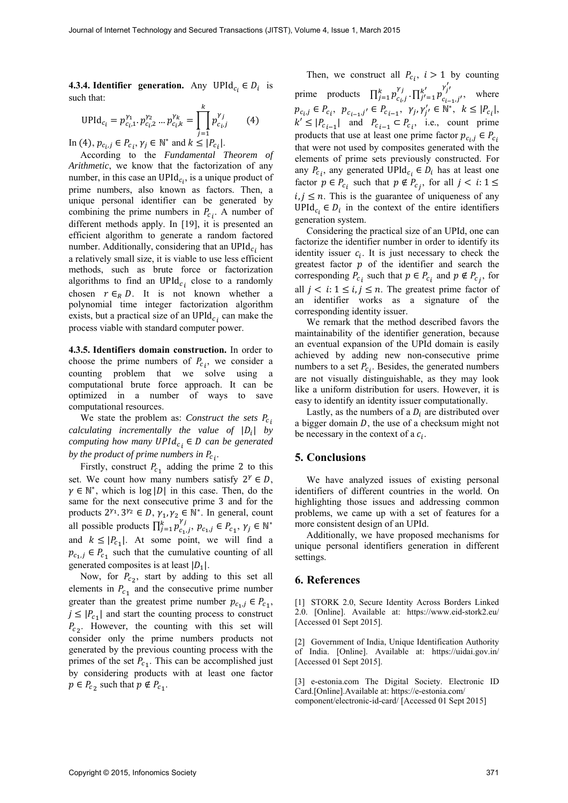**4.3.4. Identifier generation.** Any UPId<sub>ci</sub>  $\in D_i$  is such that:  $\boldsymbol{k}$ 

$$
\text{UPId}_{c_i} = p_{c_{i},1}^{\gamma_1} \cdot p_{c_{i},2}^{\gamma_2} \dots p_{c_{i},k}^{\gamma_k} = \prod_{j=1} p_{c_{i},j}^{\gamma_j} \tag{4}
$$

In (4),  $p_{c_i,j} \in P_{c_i}, \gamma_j \in \mathbb{N}^*$  and  $k \leq |P_{c_i}|$ .

According to the *Fundamental Theorem of Arithmetic*, we know that the factorization of any number, in this case an  $UPId_{c_i}$ , is a unique product of prime numbers, also known as factors. Then, a unique personal identifier can be generated by combining the prime numbers in  $P_{c_i}$ . A number of different methods apply. In [19], it is presented an efficient algorithm to generate a random factored number. Additionally, considering that an  $UPId_{c_i}$  has a relatively small size, it is viable to use less efficient methods, such as brute force or factorization algorithms to find an  $UPId_{c_i}$  close to a randomly chosen  $r \in_R D$ . It is not known whether a polynomial time integer factorization algorithm exists, but a practical size of an  $UPId_{c_i}$  can make the process viable with standard computer power.

**4.3.5. Identifiers domain construction.** In order to choose the prime numbers of  $P_{c_i}$ , we consider a counting problem that we solve using a computational brute force approach. It can be optimized in a number of ways to save computational resources.

We state the problem as: *Construct the sets*  $P_{c_i}$ *calculating incrementally the value of*  $|D_i|$  *by computing how many*  $UPId_{c_i} \in D$  *can be generated* by the product of prime numbers in  $P_{c_i}$ .

Firstly, construct  $P_{c_1}$  adding the prime 2 to this set. We count how many numbers satisfy  $2^{\gamma} \in D$ ,  $\gamma \in \mathbb{N}^*$ , which is log |D| in this case. Then, do the same for the next consecutive prime 3 and for the products  $2^{\gamma_1} \cdot 3^{\gamma_2} \in D$ ,  $\gamma_1, \gamma_2 \in \mathbb{N}^*$ . In general, count all possible products  $\prod_{j=1}^{k} p_{c_{1},j}^{\gamma_{j}}, p_{c_{1},j} \in P_{c_{1}}, \gamma_{j} \in \mathbb{N}^{*}$ and  $k \leq |P_{c_1}|$ . At some point, we will find a  $p_{c_1,i} \in P_{c_1}$  such that the cumulative counting of all generated composites is at least  $|D_1|$ .

Now, for  $P_{c2}$ , start by adding to this set all elements in  $P_{c_1}$  and the consecutive prime number greater than the greatest prime number  $p_{c_1,j} \in P_{c_1,j}$  $j \leq |P_{c_1}|$  and start the counting process to construct  $P_{c2}$ . However, the counting with this set will consider only the prime numbers products not generated by the previous counting process with the primes of the set  $P_{c_1}$ . This can be accomplished just by considering products with at least one factor  $p \in P_{c_2}$  such that  $p \notin P_{c_1}$ .

Then, we construct all  $P_{c_i}$ ,  $i > 1$  by counting prime products  $\prod_{j=1}^{k} p_{c_{i,j}}^{\gamma_j} \cdot \prod_{j'=1}^{k'} p_{c_{i-1},j'}^{\gamma_j'}$ , where  $p_{c_i,j} \in P_{c_i}, \ p_{c_{i-1},j'} \in P_{c_{i-1}}, \ \gamma_j, \gamma'_{j'} \in \mathbb{N}^*, \ k \leq |P_{c_i}|,$  $k' \leq |P_{c_{i-1}}|$  and  $P_{c_{i-1}} \subset P_{c_i}$ , i.e., count prime products that use at least one prime factor  $p_{c_{i},j} \in P_{c_{i}}$ that were not used by composites generated with the elements of prime sets previously constructed. For any  $P_{c_i}$ , any generated UPId<sub> $c_i \in D_i$ </sub> has at least one factor  $p \in P_{c_i}$  such that  $p \notin P_{c_j}$ , for all  $j < i: 1 \leq j$  $i, j \leq n$ . This is the guarantee of uniqueness of any UPId<sub>ci</sub>  $\in D_i$  in the context of the entire identifiers generation system.

Considering the practical size of an UPId, one can factorize the identifier number in order to identify its identity issuer  $c_i$ . It is just necessary to check the greatest factor  $p$  of the identifier and search the corresponding  $P_{c_i}$  such that  $p \in P_{c_i}$  and  $p \notin P_{c_j}$ , for all  $j < i: 1 \le i, j \le n$ . The greatest prime factor of an identifier works as a signature of the corresponding identity issuer.

We remark that the method described favors the maintainability of the identifier generation, because an eventual expansion of the UPId domain is easily achieved by adding new non-consecutive prime numbers to a set  $P_{c_i}$ . Besides, the generated numbers are not visually distinguishable, as they may look like a uniform distribution for users. However, it is easy to identify an identity issuer computationally.

Lastly, as the numbers of a  $D_i$  are distributed over a bigger domain  $D$ , the use of a checksum might not be necessary in the context of a  $c_i$ .

### **5. Conclusions**

We have analyzed issues of existing personal identifiers of different countries in the world. On highlighting those issues and addressing common problems, we came up with a set of features for a more consistent design of an UPId.

Additionally, we have proposed mechanisms for unique personal identifiers generation in different settings.

## **6. References**

[1] STORK 2.0, Secure Identity Across Borders Linked 2.0. [Online]. Available at: https://www.eid-stork2.eu/ [Accessed 01 Sept 2015].

[2] Government of India, Unique Identification Authority of India. [Online]. Available at: https://uidai.gov.in/ [Accessed 01 Sept 2015].

[3] e-estonia.com The Digital Society. Electronic ID Card.[Online].Available at: https://e-estonia.com/ component/electronic-id-card/ [Accessed 01 Sept 2015]